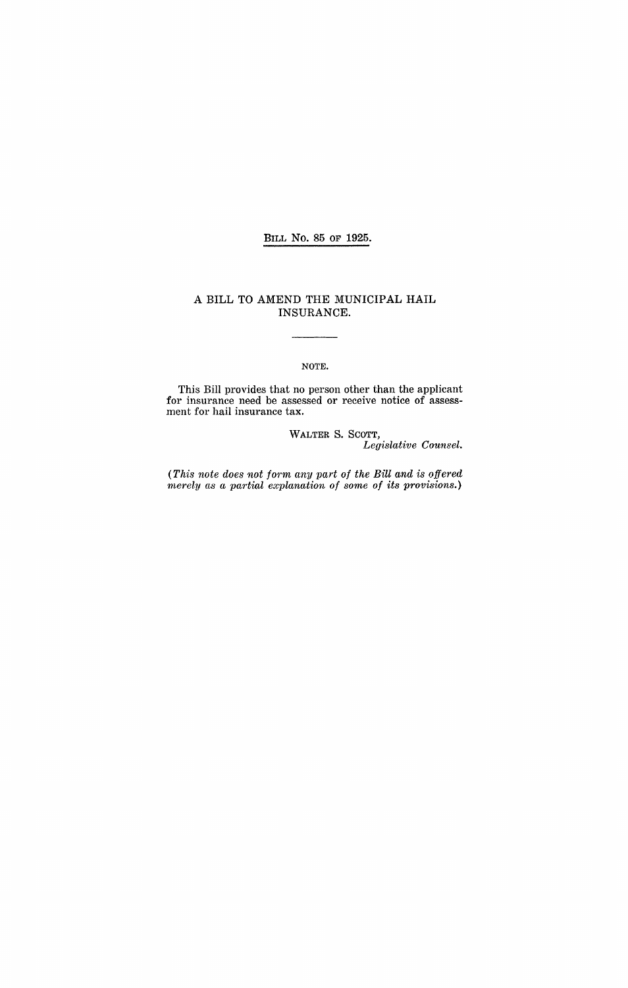BILL No. 85 OF 1925.

### A BILL TO AMEND THE MUNICIPAL HAIL INSURANCE.

#### NOTE.

This Bill provides that no person other than the applicant for insurance need be assessed or receive notice of assessment for hail insurance tax.

> WALTER S. SCOTT, *Legislative Counsel.*

*(This note does not form any part of the Bill and is offered merely as a partial explanation of some of its provisions.)*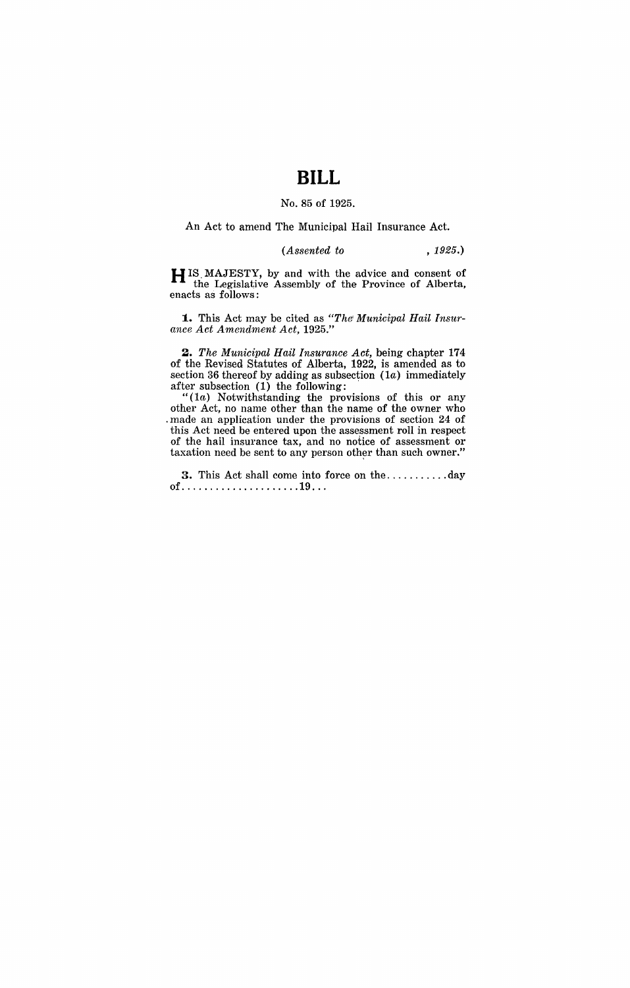# **BILL**

### No. 85 of 1925.

An Act to amend The Municipal Hail Insurance Act.

*(Assented to* , 1925.)

HIS. MAJESTY, by and with the advice and consent of the Legislative Assembly of the Province of Alberta, enacts as follows:

**1.** This Act may be cited as *"The'Municipal Hail Insurance Act Amendment Act, 1925."* 

*2. The Municipal Hail Insurance Act,* being chapter 174 of the Revised Statutes of Alberta, 1922, is amended as to section 36 thereof by adding as subsection  $(1a)$  immediately after subsection (1) the following: .

"(1a) Notwithstanding the provisions of this or any other Act, no name other than the name of the owner who . made an application under the provisions of section 24 of this Act need be entered upon the assessment roll in respect of the hail insurance tax, and no notice of assessment or taxation need be sent to any person other than such owner."

3. This Act shall come into force on the ........... day of ..................... 19 .. .